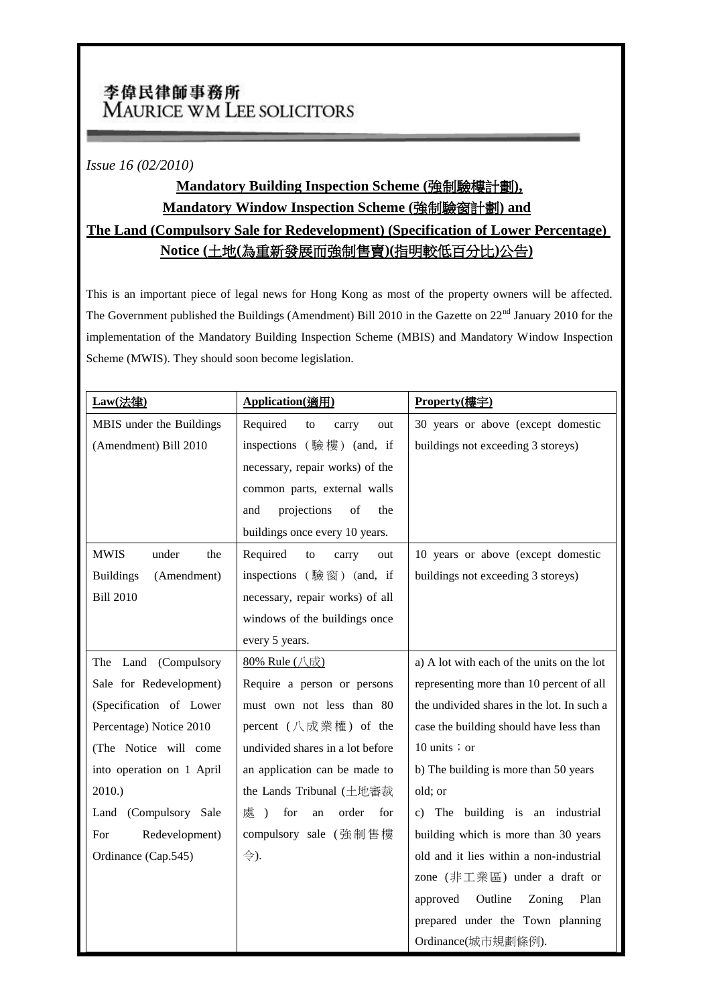## 李偉民律師事務所 MAURICE WM LEE SOLICITORS

*Issue 16 (02/2010)*

## **Mandatory Building Inspection Scheme (**強制驗樓計劃**), Mandatory Window Inspection Scheme (**強制驗窗計劃**) and**

## **The Land (Compulsory Sale for Redevelopment) (Specification of Lower Percentage) Notice (**土地**(**為重新發展而強制售賣**)(**指明較低百分比**)**公告**)**

This is an important piece of legal news for Hong Kong as most of the property owners will be affected. The Government published the Buildings (Amendment) Bill 2010 in the Gazette on 22<sup>nd</sup> January 2010 for the implementation of the Mandatory Building Inspection Scheme (MBIS) and Mandatory Window Inspection Scheme (MWIS). They should soon become legislation.

| Law(法律)                         | Application(適用)                                 | Property(樓宇)                               |
|---------------------------------|-------------------------------------------------|--------------------------------------------|
| MBIS under the Buildings        | Required<br>to<br>carry<br>out                  | 30 years or above (except domestic         |
| (Amendment) Bill 2010           | inspections (驗樓) (and, if                       | buildings not exceeding 3 storeys)         |
|                                 | necessary, repair works) of the                 |                                            |
|                                 | common parts, external walls                    |                                            |
|                                 | projections<br>of<br>the<br>and                 |                                            |
|                                 | buildings once every 10 years.                  |                                            |
| <b>MWIS</b><br>under<br>the     | Required<br>to<br>carry<br>out                  | 10 years or above (except domestic         |
| <b>Buildings</b><br>(Amendment) | inspections (驗窗) (and, if                       | buildings not exceeding 3 storeys)         |
| <b>Bill 2010</b>                | necessary, repair works) of all                 |                                            |
|                                 | windows of the buildings once                   |                                            |
|                                 | every 5 years.                                  |                                            |
| The Land (Compulsory            | 80% Rule (八成)                                   | a) A lot with each of the units on the lot |
| Sale for Redevelopment)         | Require a person or persons                     | representing more than 10 percent of all   |
| (Specification of Lower         | must own not less than 80                       | the undivided shares in the lot. In such a |
| Percentage) Notice 2010         | percent $(\Lambda \times \mathbb{R}^m)$ of the  | case the building should have less than    |
| (The Notice will come           | undivided shares in a lot before                | 10 units $\pi$ or                          |
| into operation on 1 April       | an application can be made to                   | b) The building is more than 50 years      |
| 2010.)                          | the Lands Tribunal (土地審裁                        | old; or                                    |
| Land (Compulsory Sale           | 處<br>for<br>order<br>for<br>$\rightarrow$<br>an | The building is an industrial<br>C)        |
| Redevelopment)<br>For           | compulsory sale (強制售樓                           | building which is more than 30 years       |
| Ordinance (Cap.545)             | 令).                                             | old and it lies within a non-industrial    |
|                                 |                                                 | zone (非工業區) under a draft or               |
|                                 |                                                 | Outline<br>Zoning<br>Plan<br>approved      |
|                                 |                                                 | prepared under the Town planning           |
|                                 |                                                 | Ordinance(城市規劃條例).                         |